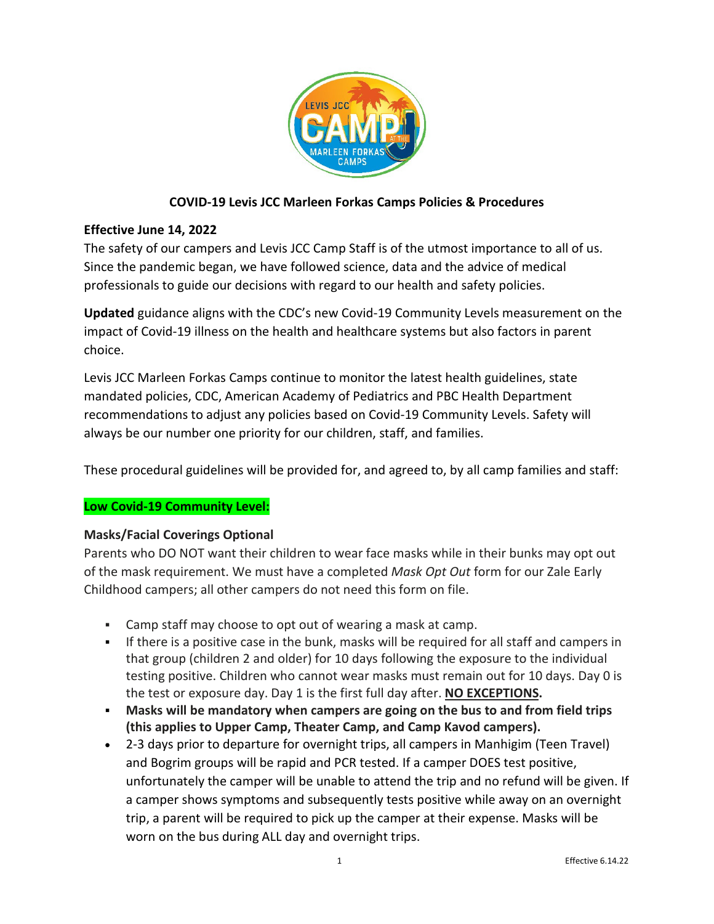

# **COVID-19 Levis JCC Marleen Forkas Camps Policies & Procedures**

## **Effective June 14, 2022**

The safety of our campers and Levis JCC Camp Staff is of the utmost importance to all of us. Since the pandemic began, we have followed science, data and the advice of medical professionals to guide our decisions with regard to our health and safety policies.

**Updated** guidance aligns with the CDC's new Covid-19 Community Levels measurement on the impact of Covid-19 illness on the health and healthcare systems but also factors in parent choice.

Levis JCC Marleen Forkas Camps continue to monitor the latest health guidelines, state mandated policies, CDC, American Academy of Pediatrics and PBC Health Department recommendations to adjust any policies based on Covid-19 Community Levels. Safety will always be our number one priority for our children, staff, and families.

These procedural guidelines will be provided for, and agreed to, by all camp families and staff:

### **Low Covid-19 Community Level:**

### **Masks/Facial Coverings Optional**

Parents who DO NOT want their children to wear face masks while in their bunks may opt out of the mask requirement. We must have a completed *Mask Opt Out* form for our Zale Early Childhood campers; all other campers do not need this form on file.

- Camp staff may choose to opt out of wearing a mask at camp.
- If there is a positive case in the bunk, masks will be required for all staff and campers in that group (children 2 and older) for 10 days following the exposure to the individual testing positive. Children who cannot wear masks must remain out for 10 days. Day 0 is the test or exposure day. Day 1 is the first full day after. **NO EXCEPTIONS.**
- **Masks will be mandatory when campers are going on the bus to and from field trips (this applies to Upper Camp, Theater Camp, and Camp Kavod campers).**
- 2-3 days prior to departure for overnight trips, all campers in Manhigim (Teen Travel) and Bogrim groups will be rapid and PCR tested. If a camper DOES test positive, unfortunately the camper will be unable to attend the trip and no refund will be given. If a camper shows symptoms and subsequently tests positive while away on an overnight trip, a parent will be required to pick up the camper at their expense. Masks will be worn on the bus during ALL day and overnight trips.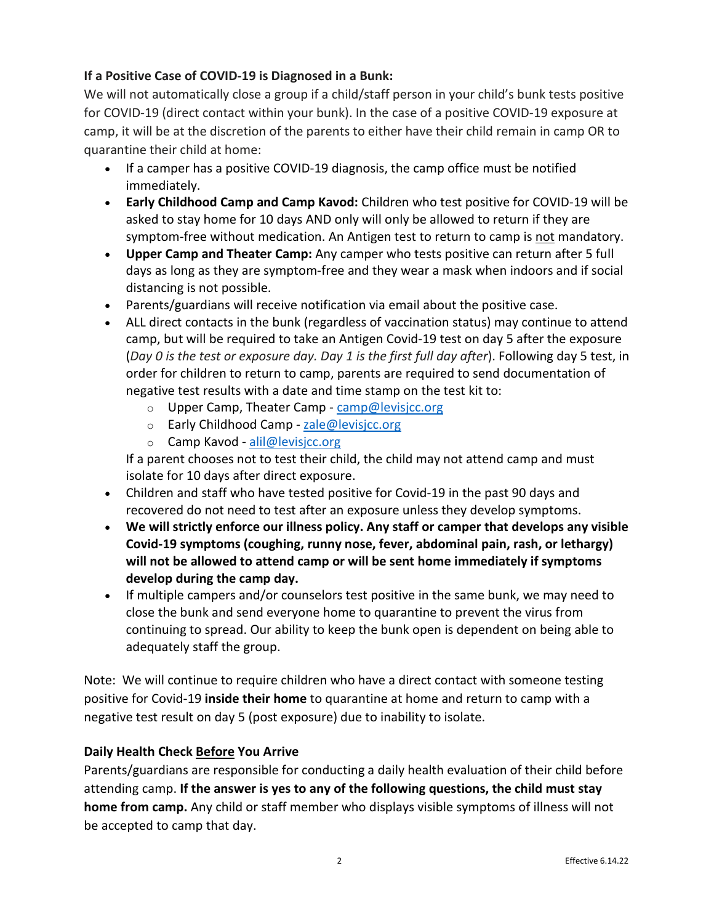# **If a Positive Case of COVID-19 is Diagnosed in a Bunk:**

We will not automatically close a group if a child/staff person in your child's bunk tests positive for COVID-19 (direct contact within your bunk). In the case of a positive COVID-19 exposure at camp, it will be at the discretion of the parents to either have their child remain in camp OR to quarantine their child at home:

- If a camper has a positive COVID-19 diagnosis, the camp office must be notified immediately.
- **Early Childhood Camp and Camp Kavod:** Children who test positive for COVID-19 will be asked to stay home for 10 days AND only will only be allowed to return if they are symptom-free without medication. An Antigen test to return to camp is not mandatory.
- **Upper Camp and Theater Camp:** Any camper who tests positive can return after 5 full days as long as they are symptom-free and they wear a mask when indoors and if social distancing is not possible.
- Parents/guardians will receive notification via email about the positive case.
- ALL direct contacts in the bunk (regardless of vaccination status) may continue to attend camp, but will be required to take an Antigen Covid-19 test on day 5 after the exposure (*Day 0 is the test or exposure day. Day 1 is the first full day after*). Following day 5 test, in order for children to return to camp, parents are required to send documentation of negative test results with a date and time stamp on the test kit to:
	- o Upper Camp, Theater Camp [camp@levisjcc.org](mailto:camp@levisjcc.org)
	- o Early Childhood Camp [zale@levisjcc.org](mailto:zale@levisjcc.org)
	- o Camp Kavod [alil@levisjcc.org](mailto:alil@levisjcc.org)

If a parent chooses not to test their child, the child may not attend camp and must isolate for 10 days after direct exposure.

- Children and staff who have tested positive for Covid-19 in the past 90 days and recovered do not need to test after an exposure unless they develop symptoms.
- **We will strictly enforce our illness policy. Any staff or camper that develops any visible Covid-19 symptoms (coughing, runny nose, fever, abdominal pain, rash, or lethargy) will not be allowed to attend camp or will be sent home immediately if symptoms develop during the camp day.**
- If multiple campers and/or counselors test positive in the same bunk, we may need to close the bunk and send everyone home to quarantine to prevent the virus from continuing to spread. Our ability to keep the bunk open is dependent on being able to adequately staff the group.

Note: We will continue to require children who have a direct contact with someone testing positive for Covid-19 **inside their home** to quarantine at home and return to camp with a negative test result on day 5 (post exposure) due to inability to isolate.

## **Daily Health Check Before You Arrive**

Parents/guardians are responsible for conducting a daily health evaluation of their child before attending camp. **If the answer is yes to any of the following questions, the child must stay home from camp.** Any child or staff member who displays visible symptoms of illness will not be accepted to camp that day.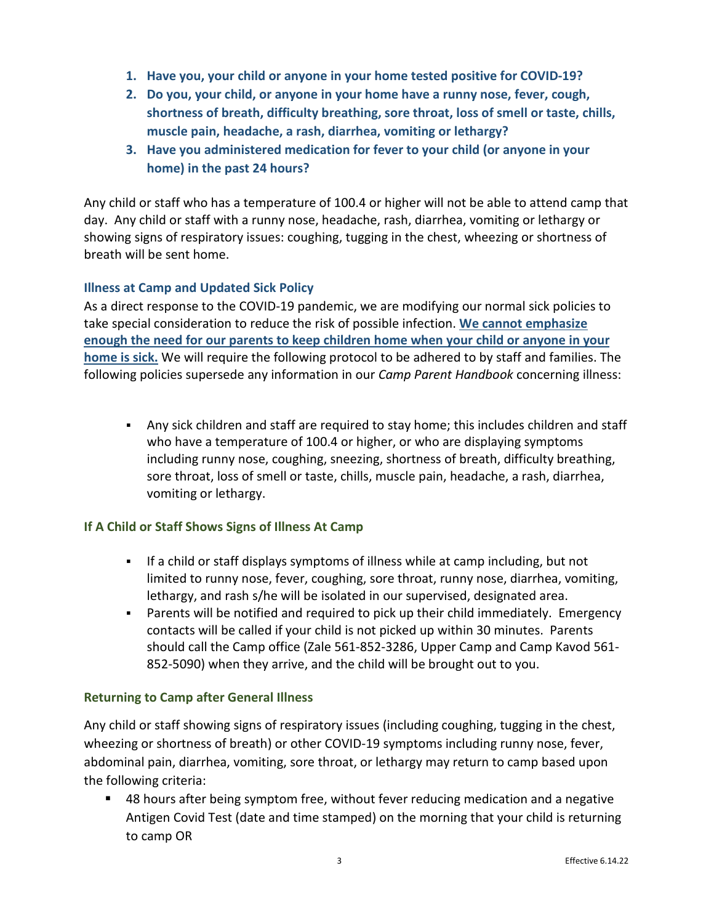- **1. Have you, your child or anyone in your home tested positive for COVID-19?**
- **2. Do you, your child, or anyone in your home have a runny nose, fever, cough, shortness of breath, difficulty breathing, sore throat, loss of smell or taste, chills, muscle pain, headache, a rash, diarrhea, vomiting or lethargy?**
- **3. Have you administered medication for fever to your child (or anyone in your home) in the past 24 hours?**

Any child or staff who has a temperature of 100.4 or higher will not be able to attend camp that day. Any child or staff with a runny nose, headache, rash, diarrhea, vomiting or lethargy or showing signs of respiratory issues: coughing, tugging in the chest, wheezing or shortness of breath will be sent home.

### **Illness at Camp and Updated Sick Policy**

As a direct response to the COVID-19 pandemic, we are modifying our normal sick policies to take special consideration to reduce the risk of possible infection. **We cannot emphasize enough the need for our parents to keep children home when your child or anyone in your home is sick.** We will require the following protocol to be adhered to by staff and families. The following policies supersede any information in our *Camp Parent Handbook* concerning illness:

 Any sick children and staff are required to stay home; this includes children and staff who have a temperature of 100.4 or higher, or who are displaying symptoms including runny nose, coughing, sneezing, shortness of breath, difficulty breathing, sore throat, loss of smell or taste, chills, muscle pain, headache, a rash, diarrhea, vomiting or lethargy.

### **If A Child or Staff Shows Signs of Illness At Camp**

- If a child or staff displays symptoms of illness while at camp including, but not limited to runny nose, fever, coughing, sore throat, runny nose, diarrhea, vomiting, lethargy, and rash s/he will be isolated in our supervised, designated area.
- Parents will be notified and required to pick up their child immediately. Emergency contacts will be called if your child is not picked up within 30 minutes. Parents should call the Camp office (Zale 561-852-3286, Upper Camp and Camp Kavod 561- 852-5090) when they arrive, and the child will be brought out to you.

### **Returning to Camp after General Illness**

Any child or staff showing signs of respiratory issues (including coughing, tugging in the chest, wheezing or shortness of breath) or other COVID-19 symptoms including runny nose, fever, abdominal pain, diarrhea, vomiting, sore throat, or lethargy may return to camp based upon the following criteria:

 48 hours after being symptom free, without fever reducing medication and a negative Antigen Covid Test (date and time stamped) on the morning that your child is returning to camp OR